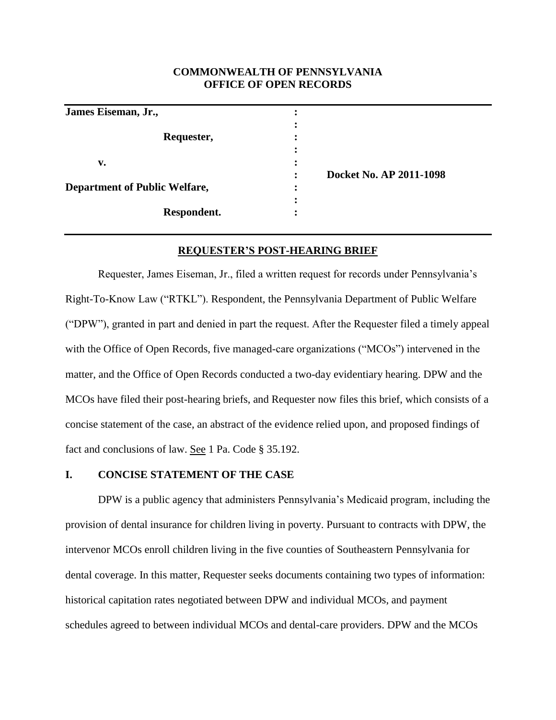## **COMMONWEALTH OF PENNSYLVANIA OFFICE OF OPEN RECORDS**

| James Eiseman, Jr.,                  |   |                         |
|--------------------------------------|---|-------------------------|
|                                      |   |                         |
| Requester,                           |   |                         |
|                                      |   |                         |
| v.                                   |   |                         |
|                                      |   | Docket No. AP 2011-1098 |
| <b>Department of Public Welfare,</b> | ٠ |                         |
|                                      |   |                         |
| Respondent.                          |   |                         |

### **REQUESTER'S POST-HEARING BRIEF**

Requester, James Eiseman, Jr., filed a written request for records under Pennsylvania's Right-To-Know Law ("RTKL"). Respondent, the Pennsylvania Department of Public Welfare ("DPW"), granted in part and denied in part the request. After the Requester filed a timely appeal with the Office of Open Records, five managed-care organizations ("MCOs") intervened in the matter, and the Office of Open Records conducted a two-day evidentiary hearing. DPW and the MCOs have filed their post-hearing briefs, and Requester now files this brief, which consists of a concise statement of the case, an abstract of the evidence relied upon, and proposed findings of fact and conclusions of law. See 1 Pa. Code § 35.192.

## **I. CONCISE STATEMENT OF THE CASE**

DPW is a public agency that administers Pennsylvania's Medicaid program, including the provision of dental insurance for children living in poverty. Pursuant to contracts with DPW, the intervenor MCOs enroll children living in the five counties of Southeastern Pennsylvania for dental coverage. In this matter, Requester seeks documents containing two types of information: historical capitation rates negotiated between DPW and individual MCOs, and payment schedules agreed to between individual MCOs and dental-care providers. DPW and the MCOs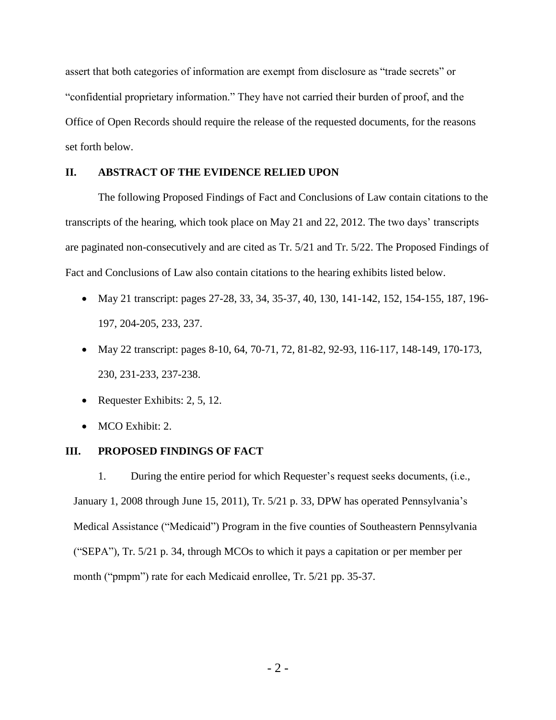assert that both categories of information are exempt from disclosure as "trade secrets" or "confidential proprietary information." They have not carried their burden of proof, and the Office of Open Records should require the release of the requested documents, for the reasons set forth below.

## **II. ABSTRACT OF THE EVIDENCE RELIED UPON**

The following Proposed Findings of Fact and Conclusions of Law contain citations to the transcripts of the hearing, which took place on May 21 and 22, 2012. The two days' transcripts are paginated non-consecutively and are cited as Tr. 5/21 and Tr. 5/22. The Proposed Findings of Fact and Conclusions of Law also contain citations to the hearing exhibits listed below.

- May 21 transcript: pages 27-28, 33, 34, 35-37, 40, 130, 141-142, 152, 154-155, 187, 196-197, 204-205, 233, 237.
- May 22 transcript: pages 8-10, 64, 70-71, 72, 81-82, 92-93, 116-117, 148-149, 170-173, 230, 231-233, 237-238.
- Requester Exhibits: 2, 5, 12.
- MCO Exhibit: 2.

## **III. PROPOSED FINDINGS OF FACT**

1. During the entire period for which Requester's request seeks documents, (i.e., January 1, 2008 through June 15, 2011), Tr. 5/21 p. 33, DPW has operated Pennsylvania's Medical Assistance ("Medicaid") Program in the five counties of Southeastern Pennsylvania ("SEPA"), Tr. 5/21 p. 34, through MCOs to which it pays a capitation or per member per month ("pmpm") rate for each Medicaid enrollee, Tr. 5/21 pp. 35-37.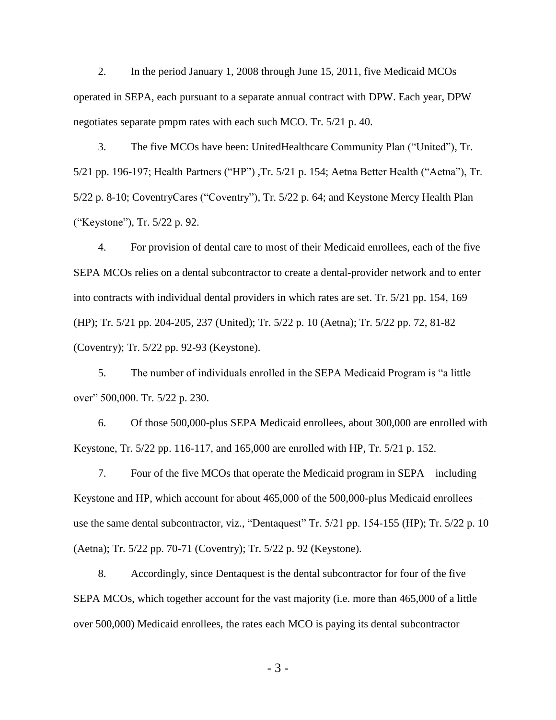2. In the period January 1, 2008 through June 15, 2011, five Medicaid MCOs operated in SEPA, each pursuant to a separate annual contract with DPW. Each year, DPW negotiates separate pmpm rates with each such MCO. Tr. 5/21 p. 40.

3. The five MCOs have been: UnitedHealthcare Community Plan ("United"), Tr. 5/21 pp. 196-197; Health Partners ("HP") ,Tr. 5/21 p. 154; Aetna Better Health ("Aetna"), Tr. 5/22 p. 8-10; CoventryCares ("Coventry"), Tr. 5/22 p. 64; and Keystone Mercy Health Plan ("Keystone"), Tr. 5/22 p. 92.

4. For provision of dental care to most of their Medicaid enrollees, each of the five SEPA MCOs relies on a dental subcontractor to create a dental-provider network and to enter into contracts with individual dental providers in which rates are set. Tr. 5/21 pp. 154, 169 (HP); Tr. 5/21 pp. 204-205, 237 (United); Tr. 5/22 p. 10 (Aetna); Tr. 5/22 pp. 72, 81-82 (Coventry); Tr. 5/22 pp. 92-93 (Keystone).

5. The number of individuals enrolled in the SEPA Medicaid Program is "a little over" 500,000. Tr. 5/22 p. 230.

6. Of those 500,000-plus SEPA Medicaid enrollees, about 300,000 are enrolled with Keystone, Tr. 5/22 pp. 116-117, and 165,000 are enrolled with HP, Tr. 5/21 p. 152.

7. Four of the five MCOs that operate the Medicaid program in SEPA—including Keystone and HP, which account for about 465,000 of the 500,000-plus Medicaid enrollees use the same dental subcontractor, viz., "Dentaquest" Tr. 5/21 pp. 154-155 (HP); Tr. 5/22 p. 10 (Aetna); Tr. 5/22 pp. 70-71 (Coventry); Tr. 5/22 p. 92 (Keystone).

8. Accordingly, since Dentaquest is the dental subcontractor for four of the five SEPA MCOs, which together account for the vast majority (i.e. more than 465,000 of a little over 500,000) Medicaid enrollees, the rates each MCO is paying its dental subcontractor

- 3 -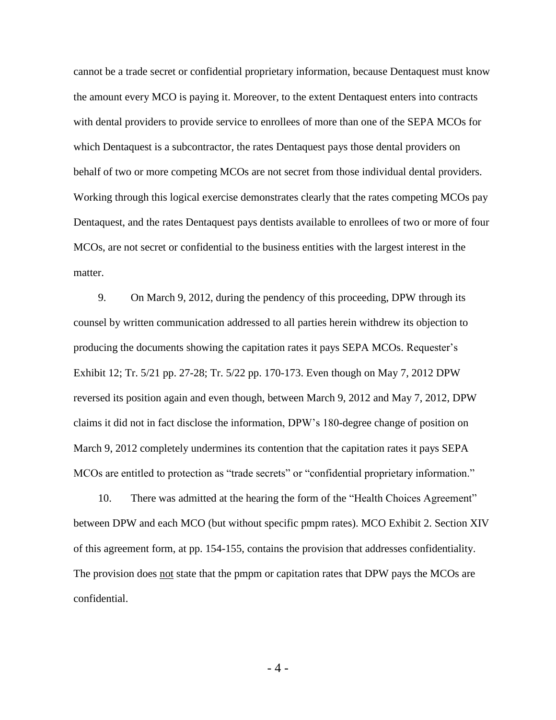cannot be a trade secret or confidential proprietary information, because Dentaquest must know the amount every MCO is paying it. Moreover, to the extent Dentaquest enters into contracts with dental providers to provide service to enrollees of more than one of the SEPA MCOs for which Dentaquest is a subcontractor, the rates Dentaquest pays those dental providers on behalf of two or more competing MCOs are not secret from those individual dental providers. Working through this logical exercise demonstrates clearly that the rates competing MCOs pay Dentaquest, and the rates Dentaquest pays dentists available to enrollees of two or more of four MCOs, are not secret or confidential to the business entities with the largest interest in the matter.

9. On March 9, 2012, during the pendency of this proceeding, DPW through its counsel by written communication addressed to all parties herein withdrew its objection to producing the documents showing the capitation rates it pays SEPA MCOs. Requester's Exhibit 12; Tr. 5/21 pp. 27-28; Tr. 5/22 pp. 170-173. Even though on May 7, 2012 DPW reversed its position again and even though, between March 9, 2012 and May 7, 2012, DPW claims it did not in fact disclose the information, DPW's 180-degree change of position on March 9, 2012 completely undermines its contention that the capitation rates it pays SEPA MCOs are entitled to protection as "trade secrets" or "confidential proprietary information."

10. There was admitted at the hearing the form of the "Health Choices Agreement" between DPW and each MCO (but without specific pmpm rates). MCO Exhibit 2. Section XIV of this agreement form, at pp. 154-155, contains the provision that addresses confidentiality. The provision does <u>not</u> state that the pmpm or capitation rates that DPW pays the MCOs are confidential.

- 4 -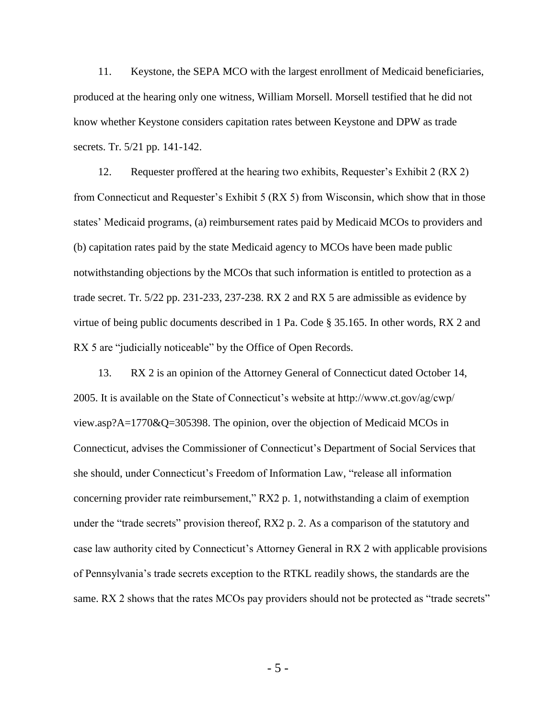11. Keystone, the SEPA MCO with the largest enrollment of Medicaid beneficiaries, produced at the hearing only one witness, William Morsell. Morsell testified that he did not know whether Keystone considers capitation rates between Keystone and DPW as trade secrets. Tr. 5/21 pp. 141-142.

12. Requester proffered at the hearing two exhibits, Requester's Exhibit 2 (RX 2) from Connecticut and Requester's Exhibit 5 (RX 5) from Wisconsin, which show that in those states' Medicaid programs, (a) reimbursement rates paid by Medicaid MCOs to providers and (b) capitation rates paid by the state Medicaid agency to MCOs have been made public notwithstanding objections by the MCOs that such information is entitled to protection as a trade secret. Tr. 5/22 pp. 231-233, 237-238. RX 2 and RX 5 are admissible as evidence by virtue of being public documents described in 1 Pa. Code § 35.165. In other words, RX 2 and RX 5 are "judicially noticeable" by the Office of Open Records.

13. RX 2 is an opinion of the Attorney General of Connecticut dated October 14, 2005. It is available on the State of Connecticut's website at http://www.ct.gov/ag/cwp/ view.asp?A=1770&Q=305398. The opinion, over the objection of Medicaid MCOs in Connecticut, advises the Commissioner of Connecticut's Department of Social Services that she should, under Connecticut's Freedom of Information Law, "release all information concerning provider rate reimbursement," RX2 p. 1, notwithstanding a claim of exemption under the "trade secrets" provision thereof, RX2 p. 2. As a comparison of the statutory and case law authority cited by Connecticut's Attorney General in RX 2 with applicable provisions of Pennsylvania's trade secrets exception to the RTKL readily shows, the standards are the same. RX 2 shows that the rates MCOs pay providers should not be protected as "trade secrets"

- 5 -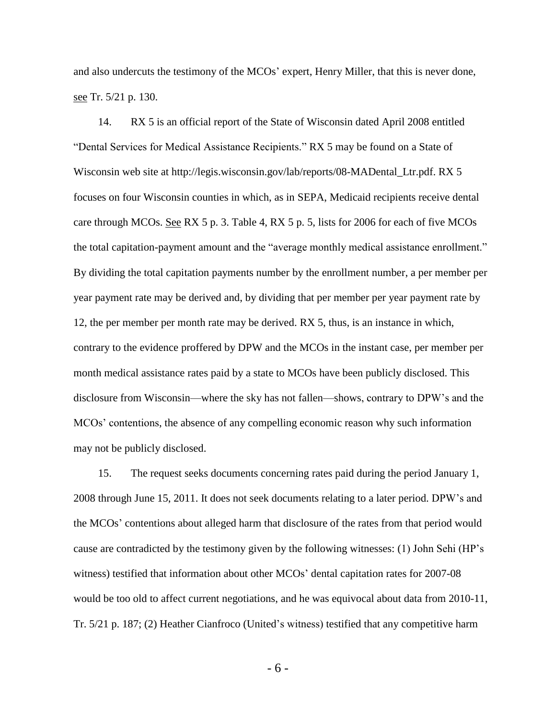and also undercuts the testimony of the MCOs' expert, Henry Miller, that this is never done, see Tr. 5/21 p. 130.

14. RX 5 is an official report of the State of Wisconsin dated April 2008 entitled "Dental Services for Medical Assistance Recipients." RX 5 may be found on a State of Wisconsin web site at http://legis.wisconsin.gov/lab/reports/08-MADental\_Ltr.pdf. RX 5 focuses on four Wisconsin counties in which, as in SEPA, Medicaid recipients receive dental care through MCOs. See RX 5 p. 3. Table 4, RX 5 p. 5, lists for 2006 for each of five MCOs the total capitation-payment amount and the "average monthly medical assistance enrollment." By dividing the total capitation payments number by the enrollment number, a per member per year payment rate may be derived and, by dividing that per member per year payment rate by 12, the per member per month rate may be derived. RX 5, thus, is an instance in which, contrary to the evidence proffered by DPW and the MCOs in the instant case, per member per month medical assistance rates paid by a state to MCOs have been publicly disclosed. This disclosure from Wisconsin—where the sky has not fallen—shows, contrary to DPW's and the MCOs' contentions, the absence of any compelling economic reason why such information may not be publicly disclosed.

15. The request seeks documents concerning rates paid during the period January 1, 2008 through June 15, 2011. It does not seek documents relating to a later period. DPW's and the MCOs' contentions about alleged harm that disclosure of the rates from that period would cause are contradicted by the testimony given by the following witnesses: (1) John Sehi (HP's witness) testified that information about other MCOs' dental capitation rates for 2007-08 would be too old to affect current negotiations, and he was equivocal about data from 2010-11, Tr. 5/21 p. 187; (2) Heather Cianfroco (United's witness) testified that any competitive harm

- 6 -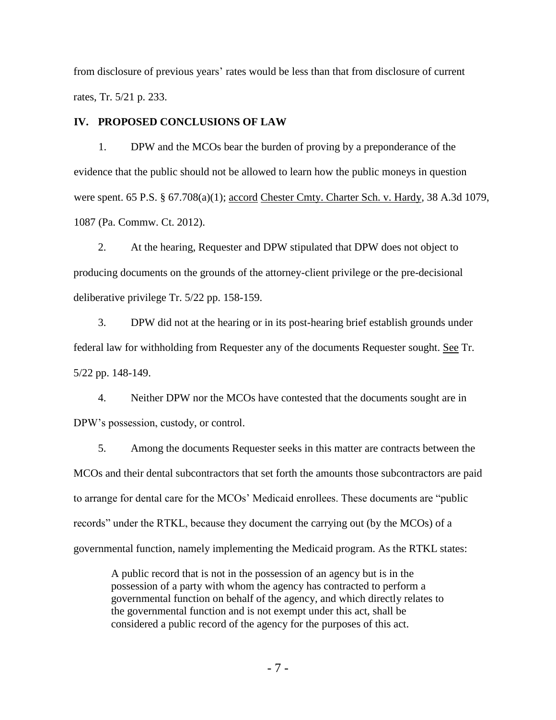from disclosure of previous years' rates would be less than that from disclosure of current rates, Tr. 5/21 p. 233.

### **IV. PROPOSED CONCLUSIONS OF LAW**

1. DPW and the MCOs bear the burden of proving by a preponderance of the evidence that the public should not be allowed to learn how the public moneys in question were spent. 65 P.S. § 67.708(a)(1); accord Chester Cmty. Charter Sch. v. Hardy, 38 A.3d 1079, 1087 (Pa. Commw. Ct. 2012).

2. At the hearing, Requester and DPW stipulated that DPW does not object to producing documents on the grounds of the attorney-client privilege or the pre-decisional deliberative privilege Tr. 5/22 pp. 158-159.

3. DPW did not at the hearing or in its post-hearing brief establish grounds under federal law for withholding from Requester any of the documents Requester sought. See Tr. 5/22 pp. 148-149.

4. Neither DPW nor the MCOs have contested that the documents sought are in DPW's possession, custody, or control.

5. Among the documents Requester seeks in this matter are contracts between the MCOs and their dental subcontractors that set forth the amounts those subcontractors are paid to arrange for dental care for the MCOs' Medicaid enrollees. These documents are "public records" under the RTKL, because they document the carrying out (by the MCOs) of a governmental function, namely implementing the Medicaid program. As the RTKL states:

A public record that is not in the possession of an agency but is in the possession of a party with whom the agency has contracted to perform a governmental function on behalf of the agency, and which directly relates to the governmental function and is not exempt under this act, shall be considered a public record of the agency for the purposes of this act.

- 7 -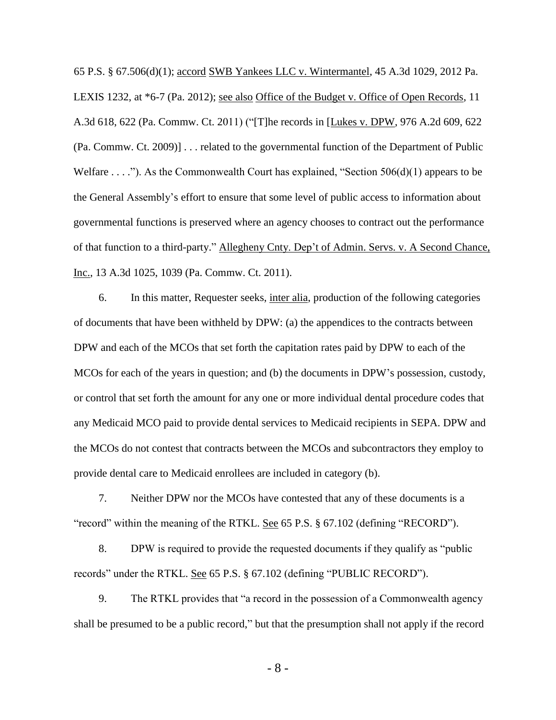65 P.S. § 67.506(d)(1); accord SWB Yankees LLC v. Wintermantel, 45 A.3d 1029, 2012 Pa. LEXIS 1232, at \*6-7 (Pa. 2012); see also Office of the Budget v. Office of Open Records, 11 A.3d 618, 622 (Pa. Commw. Ct. 2011) ("[T]he records in [Lukes v. DPW, 976 A.2d 609, 622 (Pa. Commw. Ct. 2009)] . . . related to the governmental function of the Department of Public Welfare  $\dots$ ."). As the Commonwealth Court has explained, "Section 506(d)(1) appears to be the General Assembly's effort to ensure that some level of public access to information about governmental functions is preserved where an agency chooses to contract out the performance of that function to a third-party." Allegheny Cnty. Dep't of Admin. Servs. v. A Second Chance, Inc., 13 A.3d 1025, 1039 (Pa. Commw. Ct. 2011).

6. In this matter, Requester seeks, inter alia, production of the following categories of documents that have been withheld by DPW: (a) the appendices to the contracts between DPW and each of the MCOs that set forth the capitation rates paid by DPW to each of the MCOs for each of the years in question; and (b) the documents in DPW's possession, custody, or control that set forth the amount for any one or more individual dental procedure codes that any Medicaid MCO paid to provide dental services to Medicaid recipients in SEPA. DPW and the MCOs do not contest that contracts between the MCOs and subcontractors they employ to provide dental care to Medicaid enrollees are included in category (b).

7. Neither DPW nor the MCOs have contested that any of these documents is a "record" within the meaning of the RTKL. See 65 P.S. § 67.102 (defining "RECORD").

8. DPW is required to provide the requested documents if they qualify as "public records" under the RTKL. See 65 P.S. § 67.102 (defining "PUBLIC RECORD").

9. The RTKL provides that "a record in the possession of a Commonwealth agency shall be presumed to be a public record," but that the presumption shall not apply if the record

- 8 -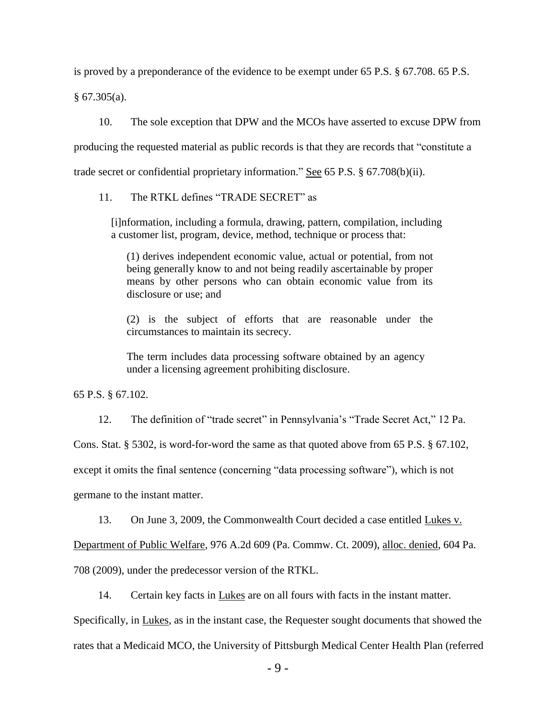is proved by a preponderance of the evidence to be exempt under 65 P.S. § 67.708. 65 P.S.

§ 67.305(a).

10. The sole exception that DPW and the MCOs have asserted to excuse DPW from producing the requested material as public records is that they are records that "constitute a trade secret or confidential proprietary information." See 65 P.S. § 67.708(b)(ii).

11. The RTKL defines "TRADE SECRET" as

[i]nformation, including a formula, drawing, pattern, compilation, including a customer list, program, device, method, technique or process that:

(1) derives independent economic value, actual or potential, from not being generally know to and not being readily ascertainable by proper means by other persons who can obtain economic value from its disclosure or use; and

(2) is the subject of efforts that are reasonable under the circumstances to maintain its secrecy.

The term includes data processing software obtained by an agency under a licensing agreement prohibiting disclosure.

65 P.S. § 67.102.

12. The definition of "trade secret" in Pennsylvania's "Trade Secret Act," 12 Pa.

Cons. Stat. § 5302, is word-for-word the same as that quoted above from 65 P.S. § 67.102,

except it omits the final sentence (concerning "data processing software"), which is not

germane to the instant matter.

13. On June 3, 2009, the Commonwealth Court decided a case entitled Lukes v.

Department of Public Welfare, 976 A.2d 609 (Pa. Commw. Ct. 2009), alloc. denied, 604 Pa.

708 (2009), under the predecessor version of the RTKL.

14. Certain key facts in Lukes are on all fours with facts in the instant matter.

Specifically, in Lukes, as in the instant case, the Requester sought documents that showed the rates that a Medicaid MCO, the University of Pittsburgh Medical Center Health Plan (referred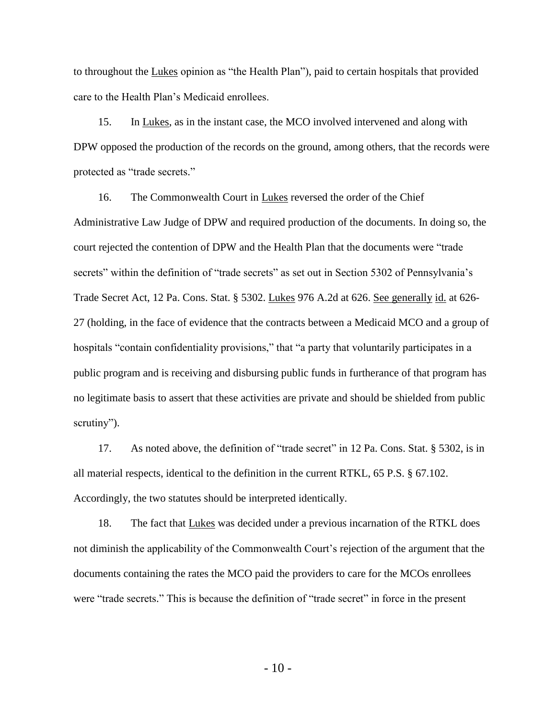to throughout the Lukes opinion as "the Health Plan"), paid to certain hospitals that provided care to the Health Plan's Medicaid enrollees.

15. In Lukes, as in the instant case, the MCO involved intervened and along with DPW opposed the production of the records on the ground, among others, that the records were protected as "trade secrets."

16. The Commonwealth Court in Lukes reversed the order of the Chief Administrative Law Judge of DPW and required production of the documents. In doing so, the court rejected the contention of DPW and the Health Plan that the documents were "trade secrets" within the definition of "trade secrets" as set out in Section 5302 of Pennsylvania's Trade Secret Act, 12 Pa. Cons. Stat. § 5302. Lukes 976 A.2d at 626. See generally id. at 626-27 (holding, in the face of evidence that the contracts between a Medicaid MCO and a group of hospitals "contain confidentiality provisions," that "a party that voluntarily participates in a public program and is receiving and disbursing public funds in furtherance of that program has no legitimate basis to assert that these activities are private and should be shielded from public scrutiny").

17. As noted above, the definition of "trade secret" in 12 Pa. Cons. Stat. § 5302, is in all material respects, identical to the definition in the current RTKL, 65 P.S. § 67.102. Accordingly, the two statutes should be interpreted identically.

18. The fact that Lukes was decided under a previous incarnation of the RTKL does not diminish the applicability of the Commonwealth Court's rejection of the argument that the documents containing the rates the MCO paid the providers to care for the MCOs enrollees were "trade secrets." This is because the definition of "trade secret" in force in the present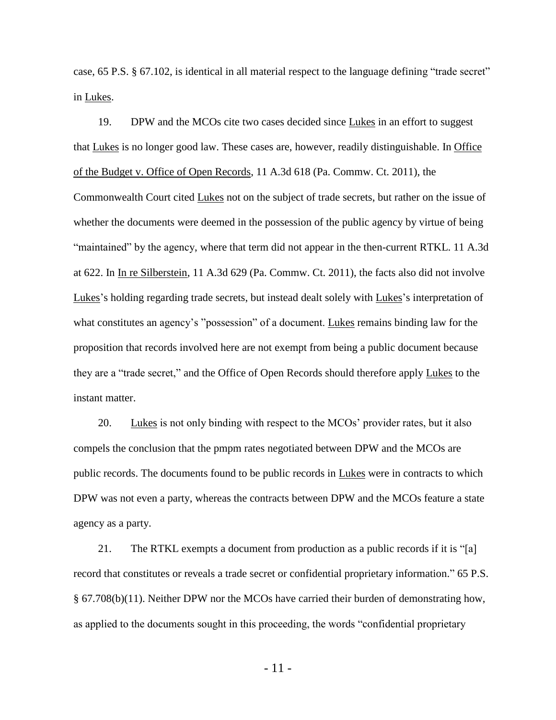case, 65 P.S. § 67.102, is identical in all material respect to the language defining "trade secret" in Lukes.

19. DPW and the MCOs cite two cases decided since Lukes in an effort to suggest that Lukes is no longer good law. These cases are, however, readily distinguishable. In Office of the Budget v. Office of Open Records, 11 A.3d 618 (Pa. Commw. Ct. 2011), the Commonwealth Court cited Lukes not on the subject of trade secrets, but rather on the issue of whether the documents were deemed in the possession of the public agency by virtue of being "maintained" by the agency, where that term did not appear in the then-current RTKL. 11 A.3d at 622. In In re Silberstein, 11 A.3d 629 (Pa. Commw. Ct. 2011), the facts also did not involve Lukes's holding regarding trade secrets, but instead dealt solely with Lukes's interpretation of what constitutes an agency's "possession" of a document. Lukes remains binding law for the proposition that records involved here are not exempt from being a public document because they are a "trade secret," and the Office of Open Records should therefore apply Lukes to the instant matter.

20. Lukes is not only binding with respect to the MCOs' provider rates, but it also compels the conclusion that the pmpm rates negotiated between DPW and the MCOs are public records. The documents found to be public records in Lukes were in contracts to which DPW was not even a party, whereas the contracts between DPW and the MCOs feature a state agency as a party.

21. The RTKL exempts a document from production as a public records if it is "[a] record that constitutes or reveals a trade secret or confidential proprietary information." 65 P.S. § 67.708(b)(11). Neither DPW nor the MCOs have carried their burden of demonstrating how, as applied to the documents sought in this proceeding, the words "confidential proprietary

- 11 -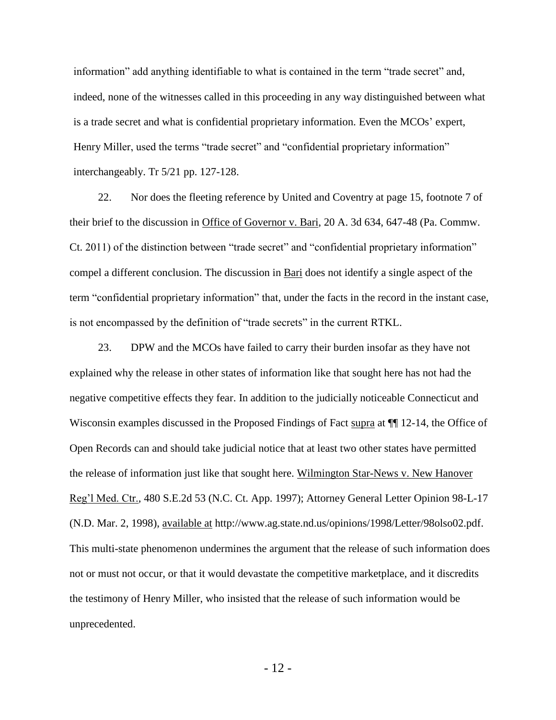information" add anything identifiable to what is contained in the term "trade secret" and, indeed, none of the witnesses called in this proceeding in any way distinguished between what is a trade secret and what is confidential proprietary information. Even the MCOs' expert, Henry Miller, used the terms "trade secret" and "confidential proprietary information" interchangeably. Tr 5/21 pp. 127-128.

22. Nor does the fleeting reference by United and Coventry at page 15, footnote 7 of their brief to the discussion in Office of Governor v. Bari, 20 A. 3d 634, 647-48 (Pa. Commw. Ct. 2011) of the distinction between "trade secret" and "confidential proprietary information" compel a different conclusion. The discussion in Bari does not identify a single aspect of the term "confidential proprietary information" that, under the facts in the record in the instant case, is not encompassed by the definition of "trade secrets" in the current RTKL.

23. DPW and the MCOs have failed to carry their burden insofar as they have not explained why the release in other states of information like that sought here has not had the negative competitive effects they fear. In addition to the judicially noticeable Connecticut and Wisconsin examples discussed in the Proposed Findings of Fact supra at  $\P$  12-14, the Office of Open Records can and should take judicial notice that at least two other states have permitted the release of information just like that sought here. Wilmington Star-News v. New Hanover Reg'l Med. Ctr., 480 S.E.2d 53 (N.C. Ct. App. 1997); Attorney General Letter Opinion 98-L-17 (N.D. Mar. 2, 1998), available at http://www.ag.state.nd.us/opinions/1998/Letter/98olso02.pdf. This multi-state phenomenon undermines the argument that the release of such information does not or must not occur, or that it would devastate the competitive marketplace, and it discredits the testimony of Henry Miller, who insisted that the release of such information would be unprecedented.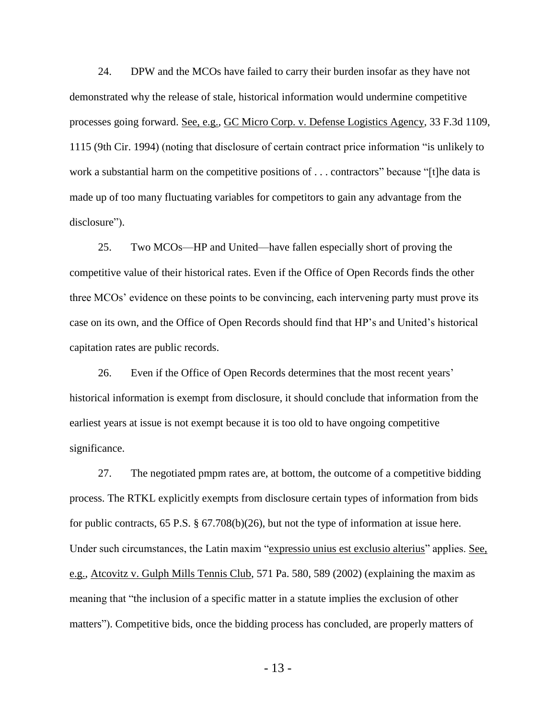24. DPW and the MCOs have failed to carry their burden insofar as they have not demonstrated why the release of stale, historical information would undermine competitive processes going forward. See, e.g., GC Micro Corp. v. Defense Logistics Agency, 33 F.3d 1109, 1115 (9th Cir. 1994) (noting that disclosure of certain contract price information "is unlikely to work a substantial harm on the competitive positions of . . . contractors" because "[t]he data is made up of too many fluctuating variables for competitors to gain any advantage from the disclosure").

25. Two MCOs—HP and United—have fallen especially short of proving the competitive value of their historical rates. Even if the Office of Open Records finds the other three MCOs' evidence on these points to be convincing, each intervening party must prove its case on its own, and the Office of Open Records should find that HP's and United's historical capitation rates are public records.

26. Even if the Office of Open Records determines that the most recent years' historical information is exempt from disclosure, it should conclude that information from the earliest years at issue is not exempt because it is too old to have ongoing competitive significance.

27. The negotiated pmpm rates are, at bottom, the outcome of a competitive bidding process. The RTKL explicitly exempts from disclosure certain types of information from bids for public contracts, 65 P.S.  $\S 67.708(b)(26)$ , but not the type of information at issue here. Under such circumstances, the Latin maxim "expressio unius est exclusio alterius" applies. See, e.g., Atcovitz v. Gulph Mills Tennis Club, 571 Pa. 580, 589 (2002) (explaining the maxim as meaning that "the inclusion of a specific matter in a statute implies the exclusion of other matters"). Competitive bids, once the bidding process has concluded, are properly matters of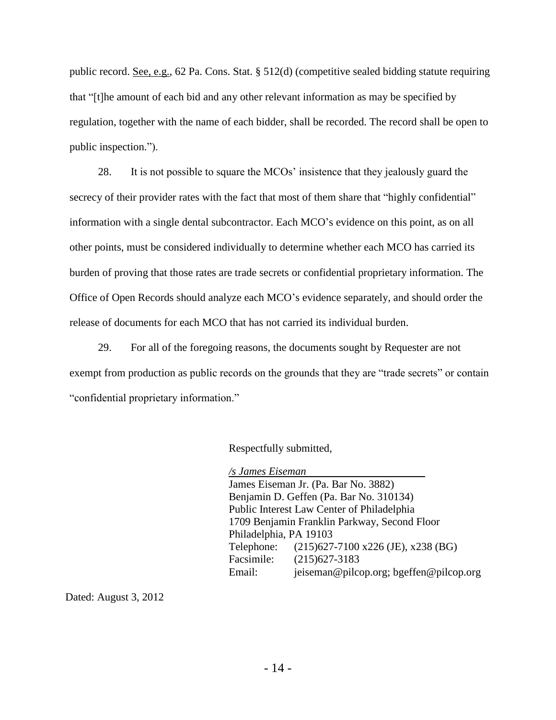public record. See, e.g., 62 Pa. Cons. Stat. § 512(d) (competitive sealed bidding statute requiring that "[t]he amount of each bid and any other relevant information as may be specified by regulation, together with the name of each bidder, shall be recorded. The record shall be open to public inspection.").

28. It is not possible to square the MCOs' insistence that they jealously guard the secrecy of their provider rates with the fact that most of them share that "highly confidential" information with a single dental subcontractor. Each MCO's evidence on this point, as on all other points, must be considered individually to determine whether each MCO has carried its burden of proving that those rates are trade secrets or confidential proprietary information. The Office of Open Records should analyze each MCO's evidence separately, and should order the release of documents for each MCO that has not carried its individual burden.

29. For all of the foregoing reasons, the documents sought by Requester are not exempt from production as public records on the grounds that they are "trade secrets" or contain "confidential proprietary information."

Respectfully submitted,

*/s James Eiseman* James Eiseman Jr. (Pa. Bar No. 3882) Benjamin D. Geffen (Pa. Bar No. 310134) Public Interest Law Center of Philadelphia 1709 Benjamin Franklin Parkway, Second Floor Philadelphia, PA 19103 Telephone: (215)627-7100 x226 (JE), x238 (BG) Facsimile: (215)627-3183 Email: jeiseman@pilcop.org; bgeffen@pilcop.org

Dated: August 3, 2012